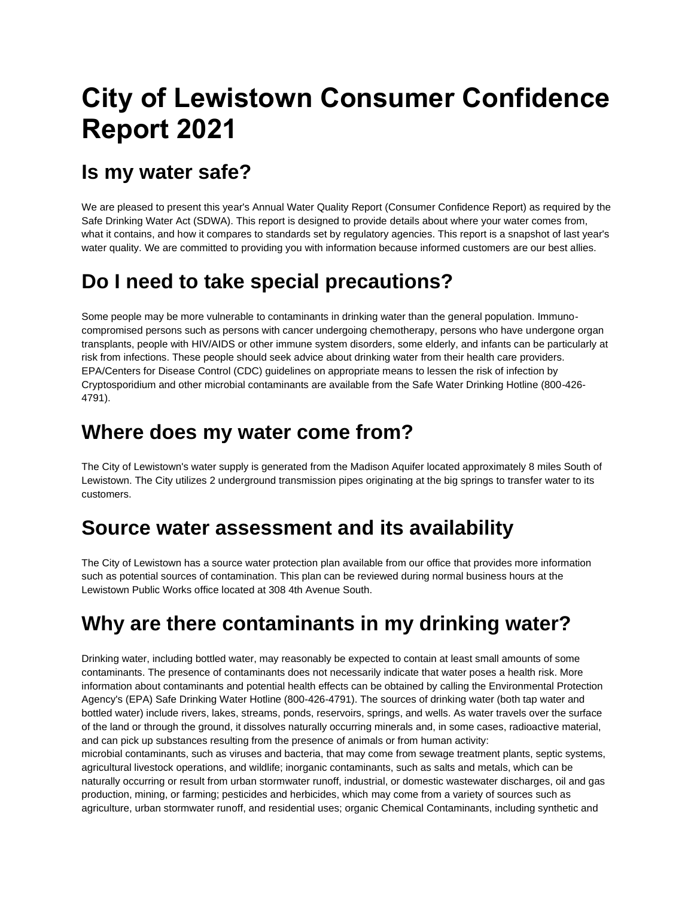# **City of Lewistown Consumer Confidence Report 2021**

### **Is my water safe?**

We are pleased to present this year's Annual Water Quality Report (Consumer Confidence Report) as required by the Safe Drinking Water Act (SDWA). This report is designed to provide details about where your water comes from, what it contains, and how it compares to standards set by regulatory agencies. This report is a snapshot of last year's water quality. We are committed to providing you with information because informed customers are our best allies.

### **Do I need to take special precautions?**

Some people may be more vulnerable to contaminants in drinking water than the general population. Immunocompromised persons such as persons with cancer undergoing chemotherapy, persons who have undergone organ transplants, people with HIV/AIDS or other immune system disorders, some elderly, and infants can be particularly at risk from infections. These people should seek advice about drinking water from their health care providers. EPA/Centers for Disease Control (CDC) guidelines on appropriate means to lessen the risk of infection by Cryptosporidium and other microbial contaminants are available from the Safe Water Drinking Hotline (800-426- 4791).

### **Where does my water come from?**

The City of Lewistown's water supply is generated from the Madison Aquifer located approximately 8 miles South of Lewistown. The City utilizes 2 underground transmission pipes originating at the big springs to transfer water to its customers.

### **Source water assessment and its availability**

The City of Lewistown has a source water protection plan available from our office that provides more information such as potential sources of contamination. This plan can be reviewed during normal business hours at the Lewistown Public Works office located at 308 4th Avenue South.

### **Why are there contaminants in my drinking water?**

Drinking water, including bottled water, may reasonably be expected to contain at least small amounts of some contaminants. The presence of contaminants does not necessarily indicate that water poses a health risk. More information about contaminants and potential health effects can be obtained by calling the Environmental Protection Agency's (EPA) Safe Drinking Water Hotline (800-426-4791). The sources of drinking water (both tap water and bottled water) include rivers, lakes, streams, ponds, reservoirs, springs, and wells. As water travels over the surface of the land or through the ground, it dissolves naturally occurring minerals and, in some cases, radioactive material, and can pick up substances resulting from the presence of animals or from human activity:

microbial contaminants, such as viruses and bacteria, that may come from sewage treatment plants, septic systems, agricultural livestock operations, and wildlife; inorganic contaminants, such as salts and metals, which can be naturally occurring or result from urban stormwater runoff, industrial, or domestic wastewater discharges, oil and gas production, mining, or farming; pesticides and herbicides, which may come from a variety of sources such as agriculture, urban stormwater runoff, and residential uses; organic Chemical Contaminants, including synthetic and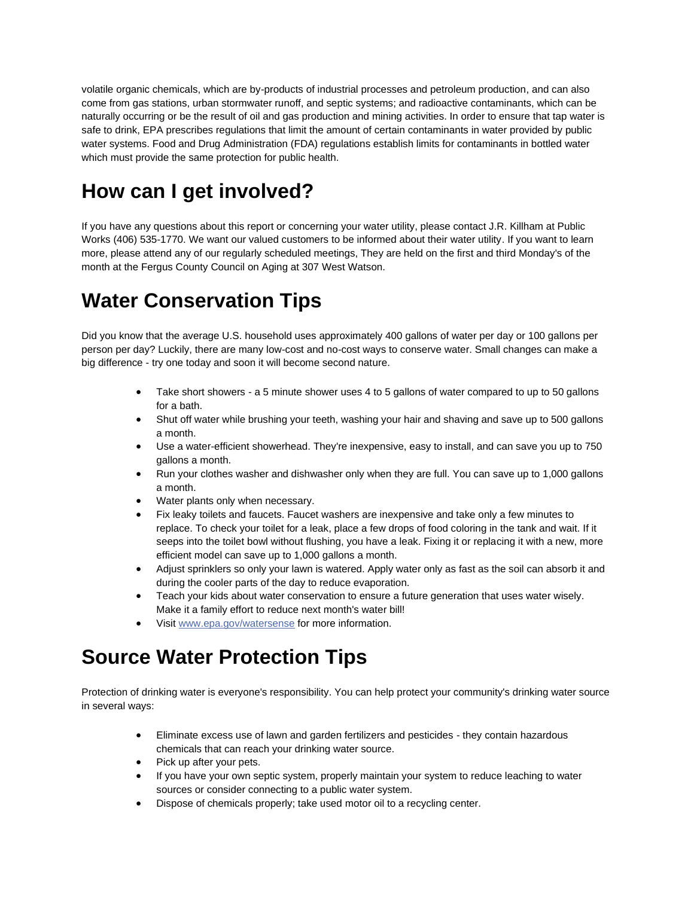volatile organic chemicals, which are by-products of industrial processes and petroleum production, and can also come from gas stations, urban stormwater runoff, and septic systems; and radioactive contaminants, which can be naturally occurring or be the result of oil and gas production and mining activities. In order to ensure that tap water is safe to drink, EPA prescribes regulations that limit the amount of certain contaminants in water provided by public water systems. Food and Drug Administration (FDA) regulations establish limits for contaminants in bottled water which must provide the same protection for public health.

## **How can I get involved?**

If you have any questions about this report or concerning your water utility, please contact J.R. Killham at Public Works (406) 535-1770. We want our valued customers to be informed about their water utility. If you want to learn more, please attend any of our regularly scheduled meetings, They are held on the first and third Monday's of the month at the Fergus County Council on Aging at 307 West Watson.

### **Water Conservation Tips**

Did you know that the average U.S. household uses approximately 400 gallons of water per day or 100 gallons per person per day? Luckily, there are many low-cost and no-cost ways to conserve water. Small changes can make a big difference - try one today and soon it will become second nature.

- Take short showers a 5 minute shower uses 4 to 5 gallons of water compared to up to 50 gallons for a bath.
- Shut off water while brushing your teeth, washing your hair and shaving and save up to 500 gallons a month.
- Use a water-efficient showerhead. They're inexpensive, easy to install, and can save you up to 750 gallons a month.
- Run your clothes washer and dishwasher only when they are full. You can save up to 1,000 gallons a month.
- Water plants only when necessary.
- Fix leaky toilets and faucets. Faucet washers are inexpensive and take only a few minutes to replace. To check your toilet for a leak, place a few drops of food coloring in the tank and wait. If it seeps into the toilet bowl without flushing, you have a leak. Fixing it or replacing it with a new, more efficient model can save up to 1,000 gallons a month.
- Adjust sprinklers so only your lawn is watered. Apply water only as fast as the soil can absorb it and during the cooler parts of the day to reduce evaporation.
- Teach your kids about water conservation to ensure a future generation that uses water wisely. Make it a family effort to reduce next month's water bill!
- Visi[t www.epa.gov/watersense](http://www.epa.gov/watersense) for more information.

### **Source Water Protection Tips**

Protection of drinking water is everyone's responsibility. You can help protect your community's drinking water source in several ways:

- Eliminate excess use of lawn and garden fertilizers and pesticides they contain hazardous chemicals that can reach your drinking water source.
- Pick up after your pets.
- If you have your own septic system, properly maintain your system to reduce leaching to water sources or consider connecting to a public water system.
- Dispose of chemicals properly; take used motor oil to a recycling center.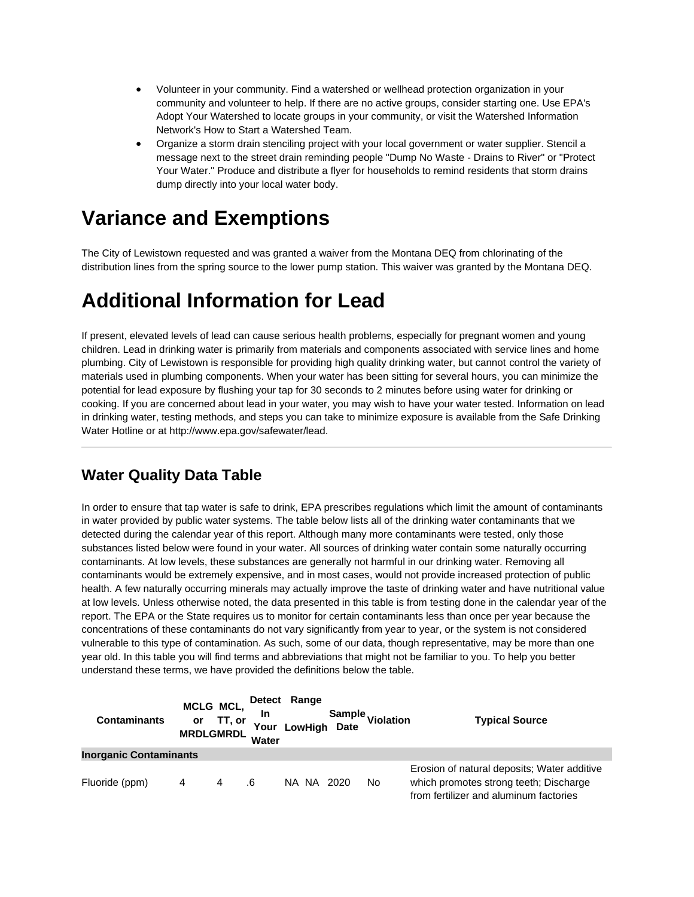- Volunteer in your community. Find a watershed or wellhead protection organization in your community and volunteer to help. If there are no active groups, consider starting one. Use EPA's Adopt Your Watershed to locate groups in your community, or visit the Watershed Information Network's How to Start a Watershed Team.
- Organize a storm drain stenciling project with your local government or water supplier. Stencil a message next to the street drain reminding people "Dump No Waste - Drains to River" or "Protect Your Water." Produce and distribute a flyer for households to remind residents that storm drains dump directly into your local water body.

### **Variance and Exemptions**

The City of Lewistown requested and was granted a waiver from the Montana DEQ from chlorinating of the distribution lines from the spring source to the lower pump station. This waiver was granted by the Montana DEQ.

### **Additional Information for Lead**

If present, elevated levels of lead can cause serious health problems, especially for pregnant women and young children. Lead in drinking water is primarily from materials and components associated with service lines and home plumbing. City of Lewistown is responsible for providing high quality drinking water, but cannot control the variety of materials used in plumbing components. When your water has been sitting for several hours, you can minimize the potential for lead exposure by flushing your tap for 30 seconds to 2 minutes before using water for drinking or cooking. If you are concerned about lead in your water, you may wish to have your water tested. Information on lead in drinking water, testing methods, and steps you can take to minimize exposure is available from the Safe Drinking Water Hotline or at http://www.epa.gov/safewater/lead.

#### **Water Quality Data Table**

In order to ensure that tap water is safe to drink, EPA prescribes regulations which limit the amount of contaminants in water provided by public water systems. The table below lists all of the drinking water contaminants that we detected during the calendar year of this report. Although many more contaminants were tested, only those substances listed below were found in your water. All sources of drinking water contain some naturally occurring contaminants. At low levels, these substances are generally not harmful in our drinking water. Removing all contaminants would be extremely expensive, and in most cases, would not provide increased protection of public health. A few naturally occurring minerals may actually improve the taste of drinking water and have nutritional value at low levels. Unless otherwise noted, the data presented in this table is from testing done in the calendar year of the report. The EPA or the State requires us to monitor for certain contaminants less than once per year because the concentrations of these contaminants do not vary significantly from year to year, or the system is not considered vulnerable to this type of contamination. As such, some of our data, though representative, may be more than one year old. In this table you will find terms and abbreviations that might not be familiar to you. To help you better understand these terms, we have provided the definitions below the table.

| <b>Contaminants</b>           | or<br><b>MRDLGMRDL</b> | MCLG MCL,<br>TT, or | Detect Range<br><b>In</b><br>Your<br>Water |       | LowHigh Date | Sample <sub>Violation</sub> | <b>Typical Source</b>                                                                                                           |
|-------------------------------|------------------------|---------------------|--------------------------------------------|-------|--------------|-----------------------------|---------------------------------------------------------------------------------------------------------------------------------|
| <b>Inorganic Contaminants</b> |                        |                     |                                            |       |              |                             |                                                                                                                                 |
| Fluoride (ppm)                | 4                      | 4                   | .6                                         | NA NA | 2020         | No.                         | Erosion of natural deposits; Water additive<br>which promotes strong teeth; Discharge<br>from fertilizer and aluminum factories |